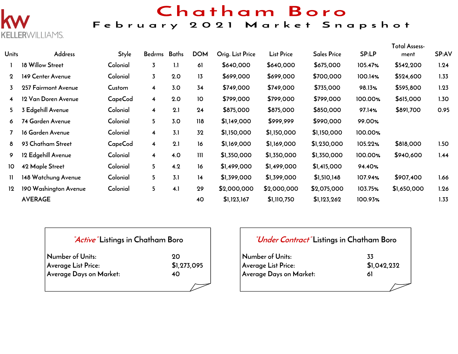

## Chatham Boro

## February 2021 Market Snapshot

| <b>Units</b>            | <b>Address</b>        | Style    | Bedrms                  | Baths | <b>DOM</b> | Orig. List Price | <b>List Price</b> | <b>Sales Price</b> | SP:LP   | <b>Total Assess-</b><br>ment | <b>SP:AV</b> |
|-------------------------|-----------------------|----------|-------------------------|-------|------------|------------------|-------------------|--------------------|---------|------------------------------|--------------|
|                         | 18 Willow Street      | Colonial | $\overline{3}$          | 1.1   | 61         | \$640,000        | \$640,000         | \$675,000          | 105.47% | \$542,200                    | 1.24         |
| $\mathbf{2}$            | 149 Center Avenue     | Colonial | $\overline{3}$          | 2.0   | 13         | \$699,000        | \$699,000         | \$700,000          | 100.14% | \$524,600                    | 1.33         |
| 3                       | 257 Fairmont Avenue   | Custom   | 4                       | 3.0   | 34         | \$749,000        | \$749,000         | \$735,000          | 98.13%  | \$595,800                    | 1.23         |
| $\overline{\mathbf{4}}$ | 12 Van Doren Avenue   | CapeCod  | 4                       | 2.0   | 10         | \$799,000        | \$799,000         | \$799,000          | 100.00% | \$615,000                    | 1.30         |
| 5.                      | 3 Edgehill Avenue     | Colonial | $\overline{\mathbf{4}}$ | 2.1   | 24         | \$875,000        | \$875,000         | \$850,000          | 97.14%  | \$891,700                    | 0.95         |
| 6                       | 74 Garden Avenue      | Colonial | 5                       | 3.0   | 118        | \$1,149,000      | \$999,999         | \$990,000          | 99.00%  |                              |              |
|                         | 16 Garden Avenue      | Colonial | $\overline{\mathbf{4}}$ | 3.1   | 32         | \$1,150,000      | \$1,150,000       | \$1,150,000        | 100.00% |                              |              |
| 8                       | 93 Chatham Street     | CapeCod  | $\overline{\mathbf{4}}$ | 2.1   | 16         | \$1,169,000      | \$1,169,000       | \$1,230,000        | 105.22% | \$818,000                    | 1.50         |
| 9.                      | 12 Edgehill Avenue    | Colonial | $\overline{\mathbf{4}}$ | 4.0   | 111        | \$1,350,000      | \$1,350,000       | \$1,350,000        | 100.00% | \$940,600                    | 1.44         |
| 10                      | 42 Maple Street       | Colonial | 5                       | 4.2   | 16         | \$1,499,000      | \$1,499,000       | \$1,415,000        | 94.40%  |                              |              |
| $\mathbf{H}$            | 148 Watchung Avenue   | Colonial | 5                       | 3.1   | 14         | \$1,399,000      | \$1,399,000       | \$1,510,148        | 107.94% | \$907,400                    | 1.66         |
| 12                      | 190 Washington Avenue | Colonial | 5                       | 4.1   | 29         | \$2,000,000      | \$2,000,000       | \$2,075,000        | 103.75% | \$1,650,000                  | 1.26         |
|                         | <b>AVERAGE</b>        |          |                         |       | 40         | \$1,123,167      | \$1,110,750       | \$1,123,262        | 100.93% |                              | 1.33         |

|  | "Active" Listings in Chatham Boro |
|--|-----------------------------------|
|--|-----------------------------------|

| Number of Units:        | 90          |
|-------------------------|-------------|
| Average List Price:     | \$1,273,095 |
| Average Days on Market: | 40          |
|                         |             |

| <i>"Under Contract"</i> Listings in Chatham Boro |             |
|--------------------------------------------------|-------------|
| Number of Units:                                 | 33          |
| <b>Average List Price:</b>                       | \$1,042,232 |
| Average Days on Market:                          | 61          |
|                                                  |             |